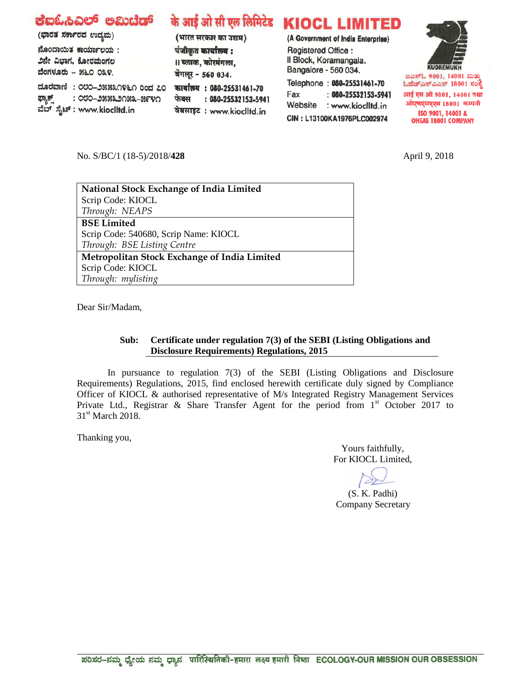| ಕಐಓಹಿವಿಲ್ ಅಮಿಟೆಡ್<br>(ಭಾರತ ಸರ್ಕಾರದ ಉದ್ಯಮ)<br>ನೊಂದಾಯಿತ ಕಾರ್ಯಾಲಯ:<br>೨ನೇ ವಿಭಾಗ, ಕೋರಮಂಗಲ<br>ಬೆಂಗಳೂರು - ೫೬೦ ೦೩೪.<br>ದೂರವಾಣಿ: ೦೮೦–೨೫೫೩೧೪೬೧ ರಿಂದ ೭೦<br>: ೦೮೦–೨೫೫೩೨೧೫೩–೫೯೪೧<br>ಫ್ಯಾಕ್ಸ್ | (भारत सरकार का उद्यम)<br>पंजीकृत कार्यालय :<br>।। ब्लाक, कोरमंगला,<br>बेंगलूर - 560 034.<br>कार्यालय: 080-25531461-70<br>: 080-25532153-5941<br>फेक्स | के आई ओ सी एल लिमिटेड KIOCL LIMITED<br>(A Government of India Enterprise)<br>Registered Office:<br>Il Block, Koramangala.<br>Bangalore - 560 034.<br>Telephone: 080-25531461-70<br>$: 080 - 25532153 - 5941$<br>Fax<br>Website<br>: www.kioclltd.in | <b>KUDREMUKH</b><br>ಐಎಸ್ಓ 9001, 14001 ಮತ್ತು<br>ಓಹೆಚ್ಎಸ್ಎಎಸ್ 18001 ಸಂಸ್ಥೆ<br>आई एस ओ 9001, 14001 तथा<br>ओएचएसएएस 18001 कम्पनी |
|----------------------------------------------------------------------------------------------------------------------------------------------------------------------------------|-------------------------------------------------------------------------------------------------------------------------------------------------------|-----------------------------------------------------------------------------------------------------------------------------------------------------------------------------------------------------------------------------------------------------|------------------------------------------------------------------------------------------------------------------------------|
| ವೆಬ್ ಸೈಟ್ : www.kiocIItd.in                                                                                                                                                      | वेबसाइट: www.kioclltd.in                                                                                                                              | CIN: L13100KA1976PLC002974                                                                                                                                                                                                                          | ISO 9001, 14001 &<br><b>OHSAS 18001 COMPANY</b>                                                                              |

No. S/BC/1 (18-5)/2018/**428** April 9, 2018

| <b>National Stock Exchange of India Limited</b> |
|-------------------------------------------------|
| Scrip Code: KIOCL                               |
| Through: NEAPS                                  |
| <b>BSE Limited</b>                              |
| Scrip Code: 540680, Scrip Name: KIOCL           |
| Through: BSE Listing Centre                     |
| Metropolitan Stock Exchange of India Limited    |
| Scrip Code: KIOCL                               |
| Through: mylisting                              |

Dear Sir/Madam,

## **Sub: Certificate under regulation 7(3) of the SEBI (Listing Obligations and Disclosure Requirements) Regulations, 2015**

In pursuance to regulation 7(3) of the SEBI (Listing Obligations and Disclosure Requirements) Regulations, 2015, find enclosed herewith certificate duly signed by Compliance Officer of KIOCL & authorised representative of M/s Integrated Registry Management Services Private Ltd., Registrar & Share Transfer Agent for the period from 1<sup>st</sup> October 2017 to 31<sup>st</sup> March 2018.

Thanking you,

Yours faithfully, For KIOCL Limited,

(S. K. Padhi) Company Secretary